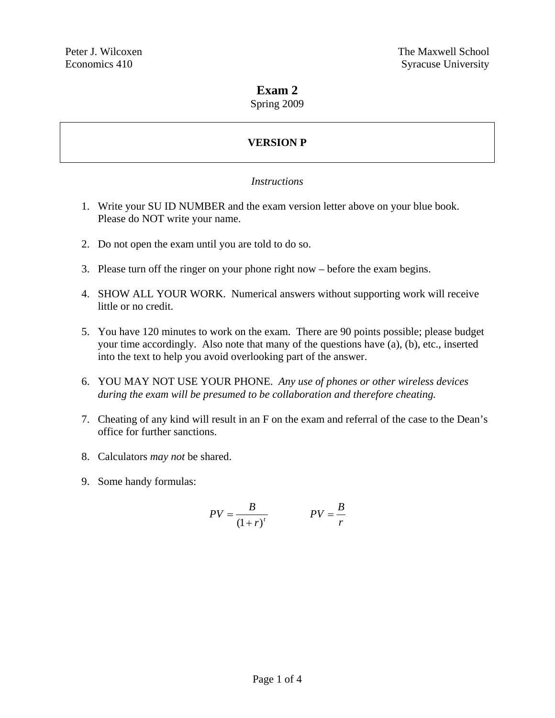# **Exam 2**

Spring 2009

# **VERSION P**

# *Instructions*

- 1. Write your SU ID NUMBER and the exam version letter above on your blue book. Please do NOT write your name.
- 2. Do not open the exam until you are told to do so.
- 3. Please turn off the ringer on your phone right now before the exam begins.
- 4. SHOW ALL YOUR WORK. Numerical answers without supporting work will receive little or no credit.
- 5. You have 120 minutes to work on the exam. There are 90 points possible; please budget your time accordingly. Also note that many of the questions have (a), (b), etc., inserted into the text to help you avoid overlooking part of the answer.
- 6. YOU MAY NOT USE YOUR PHONE. *Any use of phones or other wireless devices during the exam will be presumed to be collaboration and therefore cheating.*
- 7. Cheating of any kind will result in an F on the exam and referral of the case to the Dean's office for further sanctions.
- 8. Calculators *may not* be shared.
- 9. Some handy formulas:

$$
PV = \frac{B}{\left(1+r\right)^t} \qquad PV = \frac{B}{r}
$$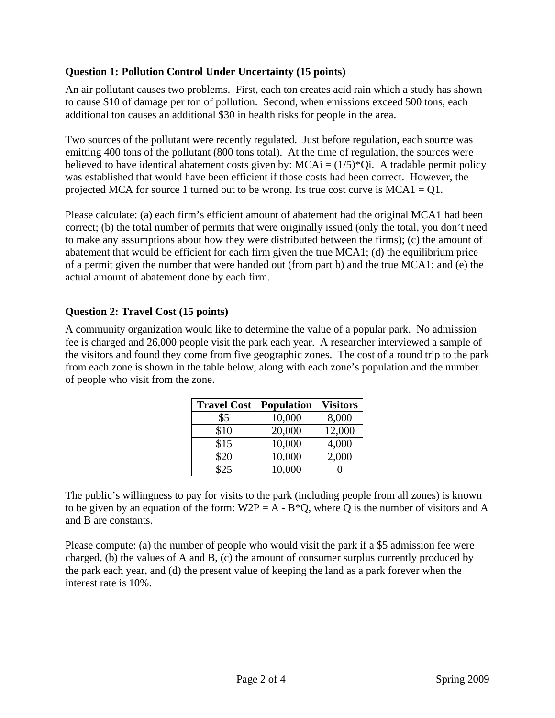#### **Question 1: Pollution Control Under Uncertainty (15 points)**

An air pollutant causes two problems. First, each ton creates acid rain which a study has shown to cause \$10 of damage per ton of pollution. Second, when emissions exceed 500 tons, each additional ton causes an additional \$30 in health risks for people in the area.

Two sources of the pollutant were recently regulated. Just before regulation, each source was emitting 400 tons of the pollutant (800 tons total). At the time of regulation, the sources were believed to have identical abatement costs given by:  $MCAi = (1/5)^*Qi$ . A tradable permit policy was established that would have been efficient if those costs had been correct. However, the projected MCA for source 1 turned out to be wrong. Its true cost curve is  $MCA1 = 01$ .

Please calculate: (a) each firm's efficient amount of abatement had the original MCA1 had been correct; (b) the total number of permits that were originally issued (only the total, you don't need to make any assumptions about how they were distributed between the firms); (c) the amount of abatement that would be efficient for each firm given the true MCA1; (d) the equilibrium price of a permit given the number that were handed out (from part b) and the true MCA1; and (e) the actual amount of abatement done by each firm.

# **Question 2: Travel Cost (15 points)**

A community organization would like to determine the value of a popular park. No admission fee is charged and 26,000 people visit the park each year. A researcher interviewed a sample of the visitors and found they come from five geographic zones. The cost of a round trip to the park from each zone is shown in the table below, along with each zone's population and the number of people who visit from the zone.

| <b>Travel Cost</b> | <b>Population</b> | <b>Visitors</b> |
|--------------------|-------------------|-----------------|
| \$5                | 10,000            | 8,000           |
| \$10               | 20,000            | 12,000          |
| \$15               | 10,000            | 4,000           |
| \$20               | 10,000            | 2,000           |
| \$25               | 10,000            |                 |

The public's willingness to pay for visits to the park (including people from all zones) is known to be given by an equation of the form:  $W2P = A - B^*Q$ , where Q is the number of visitors and A and B are constants.

Please compute: (a) the number of people who would visit the park if a \$5 admission fee were charged, (b) the values of A and B, (c) the amount of consumer surplus currently produced by the park each year, and (d) the present value of keeping the land as a park forever when the interest rate is 10%.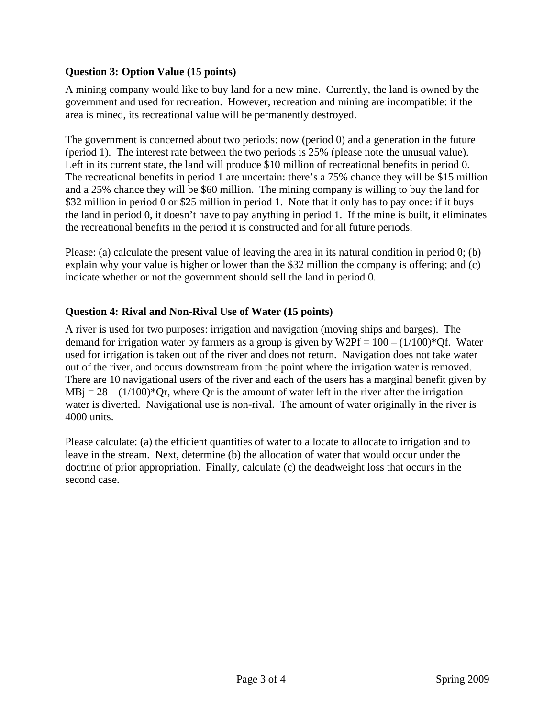# **Question 3: Option Value (15 points)**

A mining company would like to buy land for a new mine. Currently, the land is owned by the government and used for recreation. However, recreation and mining are incompatible: if the area is mined, its recreational value will be permanently destroyed.

The government is concerned about two periods: now (period 0) and a generation in the future (period 1). The interest rate between the two periods is 25% (please note the unusual value). Left in its current state, the land will produce \$10 million of recreational benefits in period 0. The recreational benefits in period 1 are uncertain: there's a 75% chance they will be \$15 million and a 25% chance they will be \$60 million. The mining company is willing to buy the land for \$32 million in period 0 or \$25 million in period 1. Note that it only has to pay once: if it buys the land in period 0, it doesn't have to pay anything in period 1. If the mine is built, it eliminates the recreational benefits in the period it is constructed and for all future periods.

Please: (a) calculate the present value of leaving the area in its natural condition in period 0; (b) explain why your value is higher or lower than the \$32 million the company is offering; and (c) indicate whether or not the government should sell the land in period 0.

# **Question 4: Rival and Non-Rival Use of Water (15 points)**

A river is used for two purposes: irrigation and navigation (moving ships and barges). The demand for irrigation water by farmers as a group is given by  $W2Pf = 100 - (1/100)^*Qf$ . Water used for irrigation is taken out of the river and does not return. Navigation does not take water out of the river, and occurs downstream from the point where the irrigation water is removed. There are 10 navigational users of the river and each of the users has a marginal benefit given by  $MBj = 28 - (1/100)^*$  Or, where Qr is the amount of water left in the river after the irrigation water is diverted. Navigational use is non-rival. The amount of water originally in the river is 4000 units.

Please calculate: (a) the efficient quantities of water to allocate to allocate to irrigation and to leave in the stream. Next, determine (b) the allocation of water that would occur under the doctrine of prior appropriation. Finally, calculate (c) the deadweight loss that occurs in the second case.